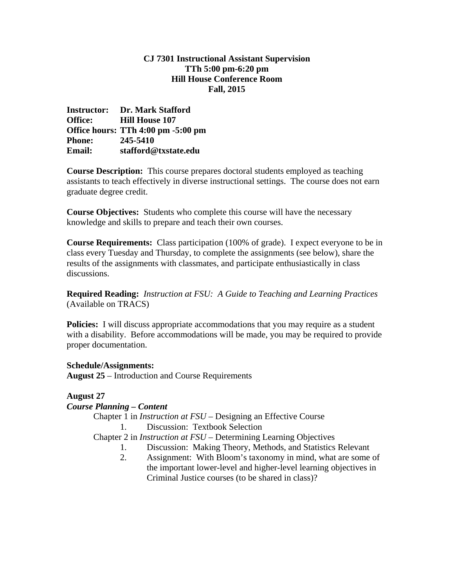# **CJ 7301 Instructional Assistant Supervision TTh 5:00 pm-6:20 pm Hill House Conference Room Fall, 2015**

**Instructor: Dr. Mark Stafford Office: Hill House 107 Office hours: TTh 4:00 pm -5:00 pm Phone: 245-5410 Email: stafford@txstate.edu** 

**Course Description:** This course prepares doctoral students employed as teaching assistants to teach effectively in diverse instructional settings. The course does not earn graduate degree credit.

**Course Objectives:** Students who complete this course will have the necessary knowledge and skills to prepare and teach their own courses.

**Course Requirements:** Class participation (100% of grade). I expect everyone to be in class every Tuesday and Thursday, to complete the assignments (see below), share the results of the assignments with classmates, and participate enthusiastically in class discussions.

**Required Reading:** *Instruction at FSU: A Guide to Teaching and Learning Practices* (Available on TRACS)

**Policies:** I will discuss appropriate accommodations that you may require as a student with a disability. Before accommodations will be made, you may be required to provide proper documentation.

# **Schedule/Assignments:**

**August 25** – Introduction and Course Requirements

**August 27** 

# *Course Planning – Content*

 Chapter 1 in *Instruction at FSU* – Designing an Effective Course 1. Discussion: Textbook Selection

Chapter 2 in *Instruction at FSU* – Determining Learning Objectives

- 1. Discussion: Making Theory, Methods, and Statistics Relevant
- 2. Assignment: With Bloom's taxonomy in mind, what are some of the important lower-level and higher-level learning objectives in Criminal Justice courses (to be shared in class)?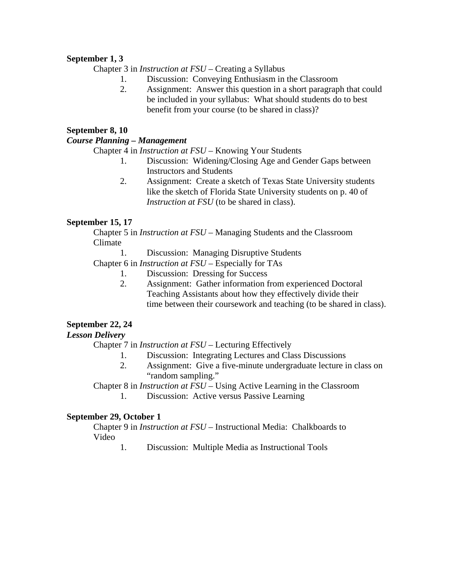# **September 1, 3**

Chapter 3 in *Instruction at FSU* – Creating a Syllabus

- 1. Discussion: Conveying Enthusiasm in the Classroom
- 2. Assignment: Answer this question in a short paragraph that could be included in your syllabus: What should students do to best benefit from your course (to be shared in class)?

### **September 8, 10**

### *Course Planning – Management*

Chapter 4 in *Instruction at FSU* – Knowing Your Students

- 1. Discussion: Widening/Closing Age and Gender Gaps between Instructors and Students
- 2. Assignment: Create a sketch of Texas State University students like the sketch of Florida State University students on p. 40 of *Instruction at FSU* (to be shared in class).

# **September 15, 17**

 Chapter 5 in *Instruction at FSU* – Managing Students and the Classroom Climate

1. Discussion: Managing Disruptive Students

Chapter 6 in *Instruction at FSU* – Especially for TAs

- 1. Discussion: Dressing for Success
- 2. Assignment: Gather information from experienced Doctoral Teaching Assistants about how they effectively divide their time between their coursework and teaching (to be shared in class).

# **September 22, 24**

# *Lesson Delivery*

Chapter 7 in *Instruction at FSU* – Lecturing Effectively

- 1. Discussion: Integrating Lectures and Class Discussions
- 2. Assignment: Give a five-minute undergraduate lecture in class on "random sampling."

Chapter 8 in *Instruction at FSU* – Using Active Learning in the Classroom

1. Discussion: Active versus Passive Learning

# **September 29, October 1**

 Chapter 9 in *Instruction at FSU* – Instructional Media: Chalkboards to Video

1. Discussion: Multiple Media as Instructional Tools